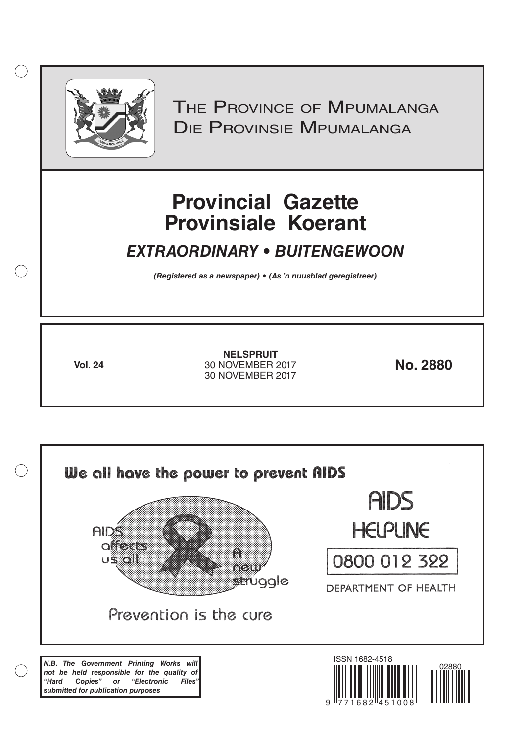

 $( )$ 

THE PROVINCE OF MPUMALANGA Die Provinsie Mpumalanga

# **Provincial Gazette Provinsiale Koerant**

## *EXTRAORDINARY • BUITENGEWOON*

*(Registered as a newspaper) • (As 'n nuusblad geregistreer)*

**Vol. 24 No. 2880** 30 NOVEMBER 2017 **NELSPRUIT** 30 NOVEMBER 2017

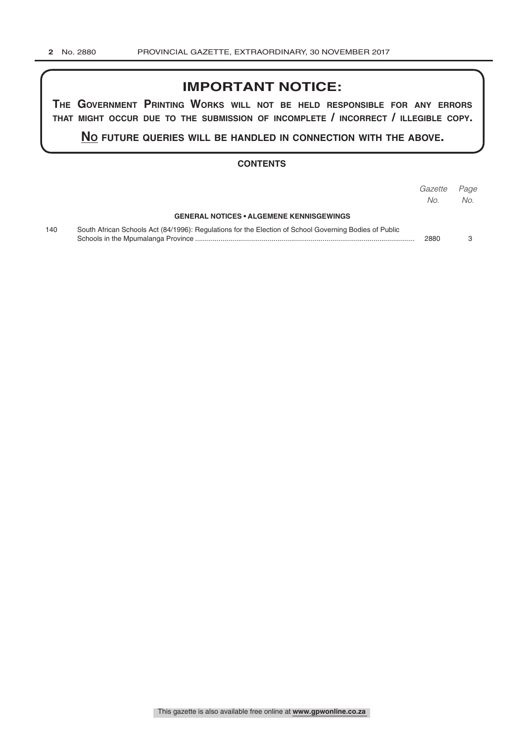### **IMPORTANT NOTICE:**

**The GovernmenT PrinTinG Works Will noT be held resPonsible for any errors ThaT miGhT occur due To The submission of incomPleTe / incorrecT / illeGible coPy.**

**no fuTure queries Will be handled in connecTion WiTh The above.**

#### **CONTENTS**

|     |                                                                                                        | Gazette<br>No. | Page<br>No. |
|-----|--------------------------------------------------------------------------------------------------------|----------------|-------------|
|     | <b>GENERAL NOTICES • ALGEMENE KENNISGEWINGS</b>                                                        |                |             |
| 140 | South African Schools Act (84/1996): Regulations for the Election of School Governing Bodies of Public | 2880           |             |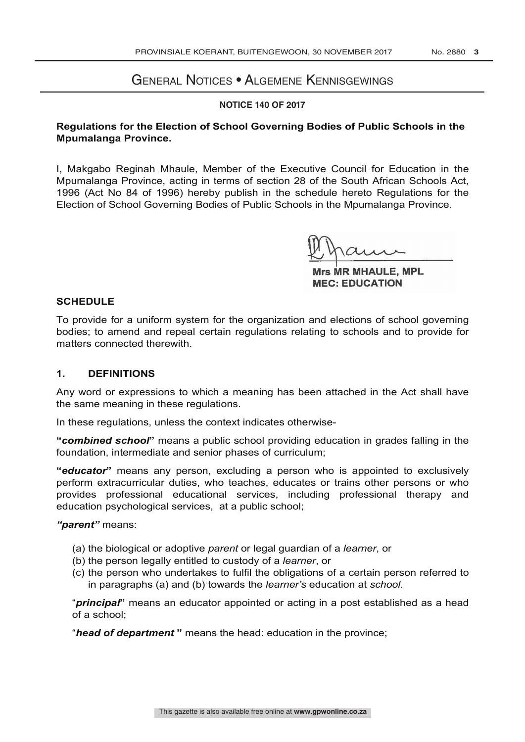#### General Notices • Algemene Kennisgewings

#### **NOTICE 140 OF 2017**

#### **Regulations for the Election of School Governing Bodies of Public Schools in the Mpumalanga Province.**

I, Makgabo Reginah Mhaule, Member of the Executive Council for Education in the Mpumalanga Province, acting in terms of section 28 of the South African Schools Act, 1996 (Act No 84 of 1996) hereby publish in the schedule hereto Regulations for the Election of School Governing Bodies of Public Schools in the Mpumalanga Province.

**Mrs MR MHAULE, MPL** 

**Mrs MR MHAULE, MPL** MEC: EDUCATION

#### **SCHEDULE**

To provide for a uniform system for the organization and elections of school governing bodies; to amend and repeal certain regulations relating to schools and to provide for matters connected therewith.

#### **1. DEFINITIONS**

Any word or expressions to which a meaning has been attached in the Act shall have the same meaning in these regulations.

In these regulations, unless the context indicates otherwise-

**"***combined school***"** means a public school providing education in grades falling in the foundation, intermediate and senior phases of curriculum;

**"***educator***"** means any person, excluding a person who is appointed to exclusively perform extracurricular duties, who teaches, educates or trains other persons or who provides professional educational services, including professional therapy and education psychological services, at a public school;

#### *"parent"* means:

- (a) the biological or adoptive *parent* or legal guardian of a *learner*, or
- (b) the person legally entitled to custody of a *learner*, or
- (c) the person who undertakes to fulfil the obligations of a certain person referred to in paragraphs (a) and (b) towards the *learner's* education at *school.*

"*principal***"** means an educator appointed or acting in a post established as a head of a school;

"*head of department* **"** means the head: education in the province;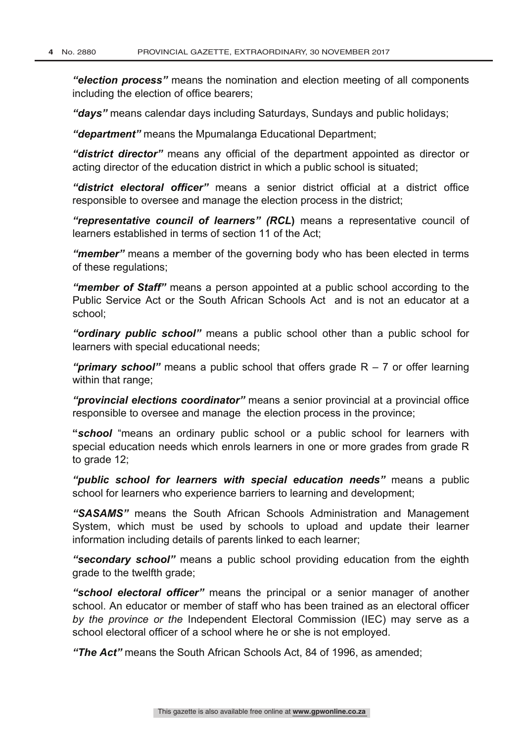*"election process"* means the nomination and election meeting of all components including the election of office bearers;

*"days"* means calendar days including Saturdays, Sundays and public holidays;

*"department"* means the Mpumalanga Educational Department;

*"district director"* means any official of the department appointed as director or acting director of the education district in which a public school is situated;

*"district electoral officer"* means a senior district official at a district office responsible to oversee and manage the election process in the district;

*"representative council of learners" (RCL***)** means a representative council of learners established in terms of section 11 of the Act;

*"member"* means a member of the governing body who has been elected in terms of these regulations;

*"member of Staff"* means a person appointed at a public school according to the Public Service Act or the South African Schools Act and is not an educator at a school;

*"ordinary public school"* means a public school other than a public school for learners with special educational needs;

*"primary school"* means a public school that offers grade R – 7 or offer learning within that range;

*"provincial elections coordinator"* means a senior provincial at a provincial office responsible to oversee and manage the election process in the province;

**"***school* "means an ordinary public school or a public school for learners with special education needs which enrols learners in one or more grades from grade R to grade 12:

*"public school for learners with special education needs"* means a public school for learners who experience barriers to learning and development;

*"SASAMS"* means the South African Schools Administration and Management System, which must be used by schools to upload and update their learner information including details of parents linked to each learner;

*"secondary school"* means a public school providing education from the eighth grade to the twelfth grade;

*"school electoral officer"* means the principal or a senior manager of another school. An educator or member of staff who has been trained as an electoral officer *by the province or the* Independent Electoral Commission (IEC) may serve as a school electoral officer of a school where he or she is not employed.

*"The Act"* means the South African Schools Act, 84 of 1996, as amended;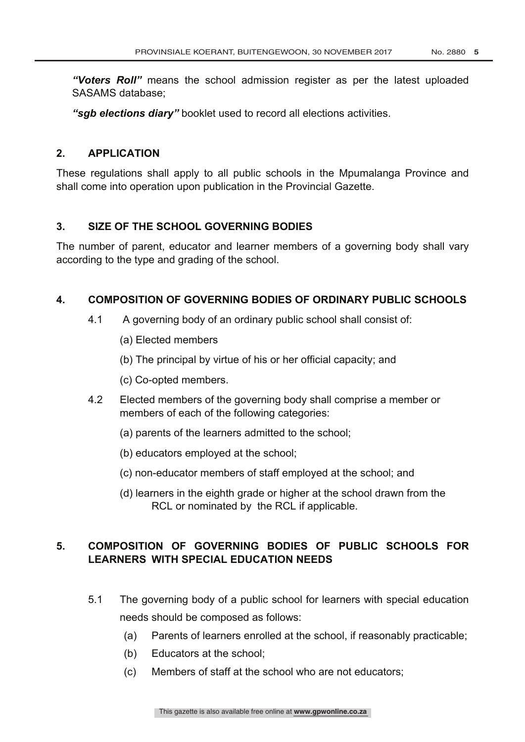*"Voters Roll"* means the school admission register as per the latest uploaded SASAMS database;

*"sgb elections diary"* booklet used to record all elections activities.

#### **2. APPLICATION**

These regulations shall apply to all public schools in the Mpumalanga Province and shall come into operation upon publication in the Provincial Gazette.

#### **3. SIZE OF THE SCHOOL GOVERNING BODIES**

The number of parent, educator and learner members of a governing body shall vary according to the type and grading of the school.

#### **4. COMPOSITION OF GOVERNING BODIES OF ORDINARY PUBLIC SCHOOLS**

- 4.1 A governing body of an ordinary public school shall consist of:
	- (a) Elected members
	- (b) The principal by virtue of his or her official capacity; and
	- (c) Co-opted members.
- 4.2 Elected members of the governing body shall comprise a member or members of each of the following categories:
	- (a) parents of the learners admitted to the school;
	- (b) educators employed at the school;
	- (c) non-educator members of staff employed at the school; and
	- (d) learners in the eighth grade or higher at the school drawn from the RCL or nominated by the RCL if applicable.

#### **5. COMPOSITION OF GOVERNING BODIES OF PUBLIC SCHOOLS FOR LEARNERS WITH SPECIAL EDUCATION NEEDS**

- 5.1 The governing body of a public school for learners with special education needs should be composed as follows:
	- (a) Parents of learners enrolled at the school, if reasonably practicable;
	- (b) Educators at the school;
	- (c) Members of staff at the school who are not educators;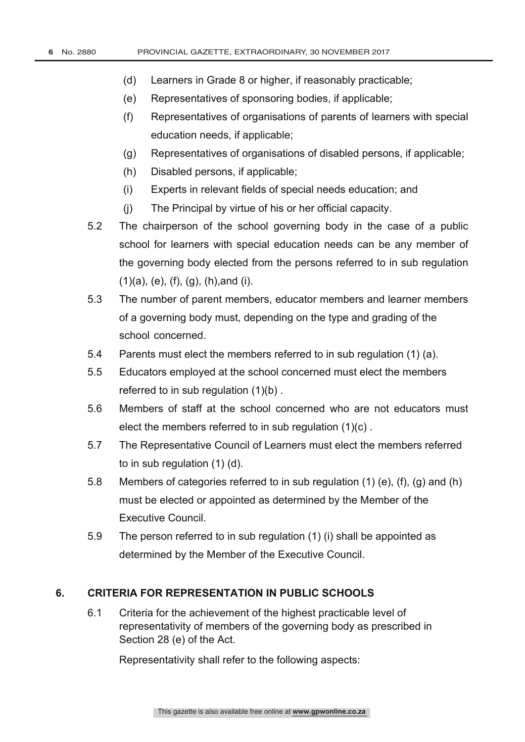- (d) Learners in Grade 8 or higher, if reasonably practicable;
- (e) Representatives of sponsoring bodies, if applicable;
- (f) Representatives of organisations of parents of learners with special education needs, if applicable;
- (g) Representatives of organisations of disabled persons, if applicable;
- (h) Disabled persons, if applicable;
- (i) Experts in relevant fields of special needs education; and
- (j) The Principal by virtue of his or her official capacity.
- 5.2 The chairperson of the school governing body in the case of a public school for learners with special education needs can be any member of the governing body elected from the persons referred to in sub regulation  $(1)(a)$ ,  $(e)$ ,  $(f)$ ,  $(g)$ ,  $(h)$ , and  $(i)$ .
- 5.3 The number of parent members, educator members and learner members of a governing body must, depending on the type and grading of the school concerned.
- 5.4 Parents must elect the members referred to in sub regulation (1) (a).
- 5.5 Educators employed at the school concerned must elect the members referred to in sub regulation (1)(b) .
- 5.6 Members of staff at the school concerned who are not educators must elect the members referred to in sub regulation (1)(c) .
- 5.7 The Representative Council of Learners must elect the members referred to in sub regulation (1) (d).
- 5.8 Members of categories referred to in sub regulation (1) (e), (f), (g) and (h) must be elected or appointed as determined by the Member of the Executive Council.
- 5.9 The person referred to in sub regulation (1) (i) shall be appointed as determined by the Member of the Executive Council.

#### **6. CRITERIA FOR REPRESENTATION IN PUBLIC SCHOOLS**

6.1 Criteria for the achievement of the highest practicable level of representativity of members of the governing body as prescribed in Section 28 (e) of the Act.

Representativity shall refer to the following aspects: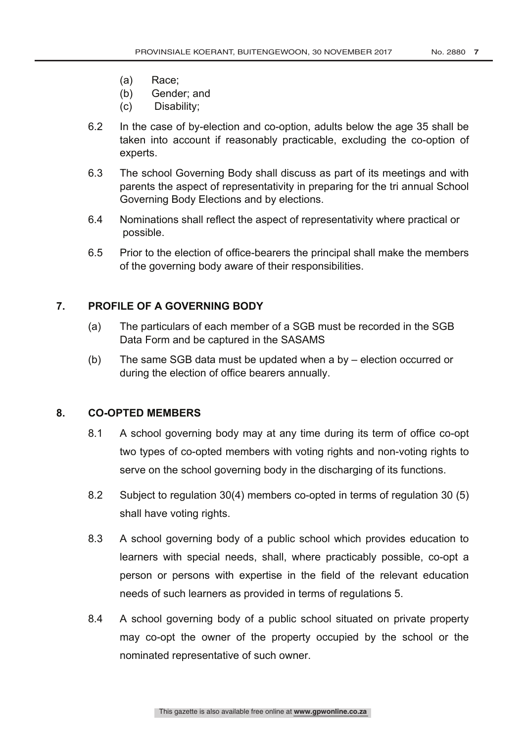- (a) Race;
- (b) Gender; and
- (c) Disability;
- 6.2 In the case of by-election and co-option, adults below the age 35 shall be taken into account if reasonably practicable, excluding the co-option of experts.
- 6.3 The school Governing Body shall discuss as part of its meetings and with parents the aspect of representativity in preparing for the tri annual School Governing Body Elections and by elections.
- 6.4 Nominations shall reflect the aspect of representativity where practical or possible.
- 6.5 Prior to the election of office-bearers the principal shall make the members of the governing body aware of their responsibilities.

#### **7. PROFILE OF A GOVERNING BODY**

- (a) The particulars of each member of a SGB must be recorded in the SGB Data Form and be captured in the SASAMS
- (b) The same SGB data must be updated when a by election occurred or during the election of office bearers annually.

#### **8. CO-OPTED MEMBERS**

- 8.1 A school governing body may at any time during its term of office co-opt two types of co-opted members with voting rights and non-voting rights to serve on the school governing body in the discharging of its functions.
- 8.2 Subject to regulation 30(4) members co-opted in terms of regulation 30 (5) shall have voting rights.
- 8.3 A school governing body of a public school which provides education to learners with special needs, shall, where practicably possible, co-opt a person or persons with expertise in the field of the relevant education needs of such learners as provided in terms of regulations 5.
- 8.4 A school governing body of a public school situated on private property may co-opt the owner of the property occupied by the school or the nominated representative of such owner.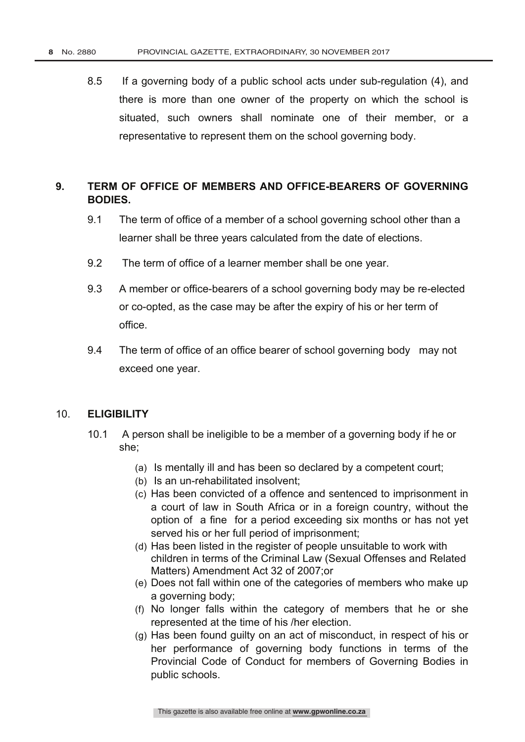8.5 If a governing body of a public school acts under sub-regulation (4), and there is more than one owner of the property on which the school is situated, such owners shall nominate one of their member, or a representative to represent them on the school governing body.

#### **9. TERM OF OFFICE OF MEMBERS AND OFFICE-BEARERS OF GOVERNING BODIES.**

- 9.1 The term of office of a member of a school governing school other than a learner shall be three years calculated from the date of elections.
- 9.2 The term of office of a learner member shall be one year.
- 9.3 A member or office-bearers of a school governing body may be re-elected or co-opted, as the case may be after the expiry of his or her term of office.
- 9.4 The term of office of an office bearer of school governing body may not exceed one year.

#### 10. **ELIGIBILITY**

- 10.1 A person shall be ineligible to be a member of a governing body if he or she;
	- (a) Is mentally ill and has been so declared by a competent court;
	- (b) Is an un-rehabilitated insolvent;
	- (c) Has been convicted of a offence and sentenced to imprisonment in a court of law in South Africa or in a foreign country, without the option of a fine for a period exceeding six months or has not yet served his or her full period of imprisonment;
	- (d) Has been listed in the register of people unsuitable to work with children in terms of the Criminal Law (Sexual Offenses and Related Matters) Amendment Act 32 of 2007;or
	- (e) Does not fall within one of the categories of members who make up a governing body;
	- (f) No longer falls within the category of members that he or she represented at the time of his /her election.
	- (g) Has been found guilty on an act of misconduct, in respect of his or her performance of governing body functions in terms of the Provincial Code of Conduct for members of Governing Bodies in public schools.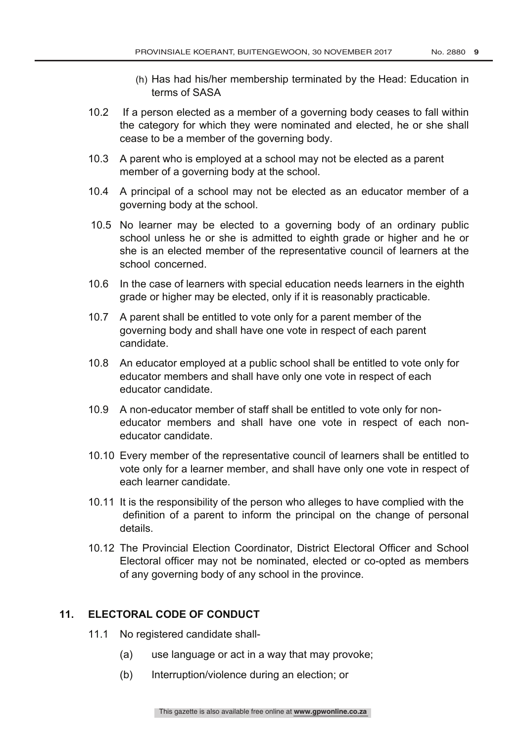- (h) Has had his/her membership terminated by the Head: Education in terms of SASA
- 10.2 If a person elected as a member of a governing body ceases to fall within the category for which they were nominated and elected, he or she shall cease to be a member of the governing body.
- 10.3 A parent who is employed at a school may not be elected as a parent member of a governing body at the school.
- 10.4 A principal of a school may not be elected as an educator member of a governing body at the school.
- 10.5 No learner may be elected to a governing body of an ordinary public school unless he or she is admitted to eighth grade or higher and he or she is an elected member of the representative council of learners at the school concerned.
- 10.6 In the case of learners with special education needs learners in the eighth grade or higher may be elected, only if it is reasonably practicable.
- 10.7 A parent shall be entitled to vote only for a parent member of the governing body and shall have one vote in respect of each parent candidate.
- 10.8 An educator employed at a public school shall be entitled to vote only for educator members and shall have only one vote in respect of each educator candidate.
- 10.9 A non-educator member of staff shall be entitled to vote only for noneducator members and shall have one vote in respect of each noneducator candidate.
- 10.10 Every member of the representative council of learners shall be entitled to vote only for a learner member, and shall have only one vote in respect of each learner candidate.
- 10.11 It is the responsibility of the person who alleges to have complied with the definition of a parent to inform the principal on the change of personal details.
- 10.12 The Provincial Election Coordinator, District Electoral Officer and School Electoral officer may not be nominated, elected or co-opted as members of any governing body of any school in the province.

#### **11. ELECTORAL CODE OF CONDUCT**

- 11.1 No registered candidate shall-
	- (a) use language or act in a way that may provoke;
	- (b) Interruption/violence during an election; or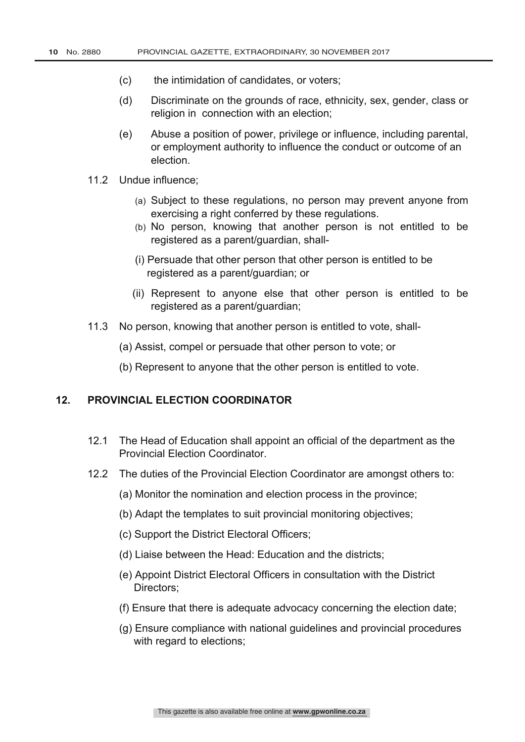- (c) the intimidation of candidates, or voters;
- (d) Discriminate on the grounds of race, ethnicity, sex, gender, class or religion in connection with an election:
- (e) Abuse a position of power, privilege or influence, including parental, or employment authority to influence the conduct or outcome of an election.
- 11.2 Undue influence;
	- (a) Subject to these regulations, no person may prevent anyone from exercising a right conferred by these regulations.
	- (b) No person, knowing that another person is not entitled to be registered as a parent/guardian, shall-
	- (i) Persuade that other person that other person is entitled to be registered as a parent/guardian; or
	- (ii) Represent to anyone else that other person is entitled to be registered as a parent/guardian;
- 11.3 No person, knowing that another person is entitled to vote, shall-
	- (a) Assist, compel or persuade that other person to vote; or
	- (b) Represent to anyone that the other person is entitled to vote.

#### **12. PROVINCIAL ELECTION COORDINATOR**

- 12.1 The Head of Education shall appoint an official of the department as the Provincial Election Coordinator.
- 12.2 The duties of the Provincial Election Coordinator are amongst others to:
	- (a) Monitor the nomination and election process in the province;
	- (b) Adapt the templates to suit provincial monitoring objectives;
	- (c) Support the District Electoral Officers;
	- (d) Liaise between the Head: Education and the districts;
	- (e) Appoint District Electoral Officers in consultation with the District Directors;
	- (f) Ensure that there is adequate advocacy concerning the election date;
	- (g) Ensure compliance with national guidelines and provincial procedures with regard to elections;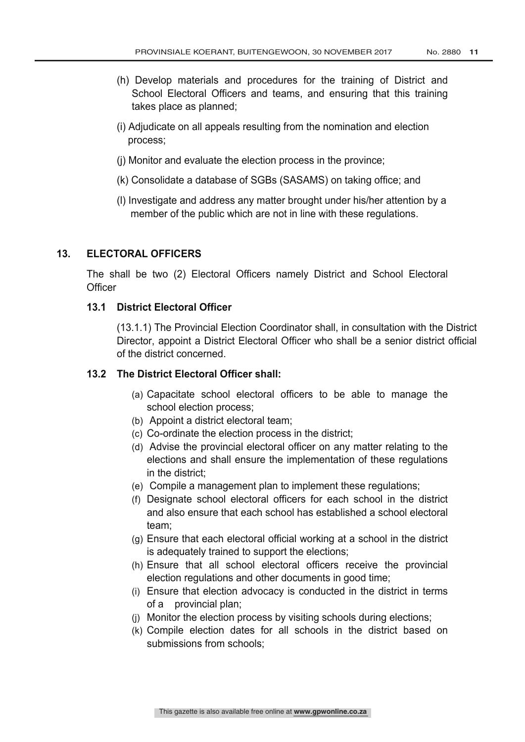- (h) Develop materials and procedures for the training of District and School Electoral Officers and teams, and ensuring that this training takes place as planned;
- (i) Adjudicate on all appeals resulting from the nomination and election process;
- (j) Monitor and evaluate the election process in the province;
- (k) Consolidate a database of SGBs (SASAMS) on taking office; and
- (l) Investigate and address any matter brought under his/her attention by a member of the public which are not in line with these regulations.

#### **13. ELECTORAL OFFICERS**

The shall be two (2) Electoral Officers namely District and School Electoral **Officer** 

#### **13.1 District Electoral Officer**

(13.1.1) The Provincial Election Coordinator shall, in consultation with the District Director, appoint a District Electoral Officer who shall be a senior district official of the district concerned.

#### **13.2 The District Electoral Officer shall:**

- (a) Capacitate school electoral officers to be able to manage the school election process;
- (b) Appoint a district electoral team;
- (c) Co-ordinate the election process in the district;
- (d) Advise the provincial electoral officer on any matter relating to the elections and shall ensure the implementation of these regulations in the district;
- (e) Compile a management plan to implement these regulations;
- (f) Designate school electoral officers for each school in the district and also ensure that each school has established a school electoral team;
- (g) Ensure that each electoral official working at a school in the district is adequately trained to support the elections;
- (h) Ensure that all school electoral officers receive the provincial election regulations and other documents in good time;
- (i) Ensure that election advocacy is conducted in the district in terms of a provincial plan;
- (j) Monitor the election process by visiting schools during elections;
- (k) Compile election dates for all schools in the district based on submissions from schools;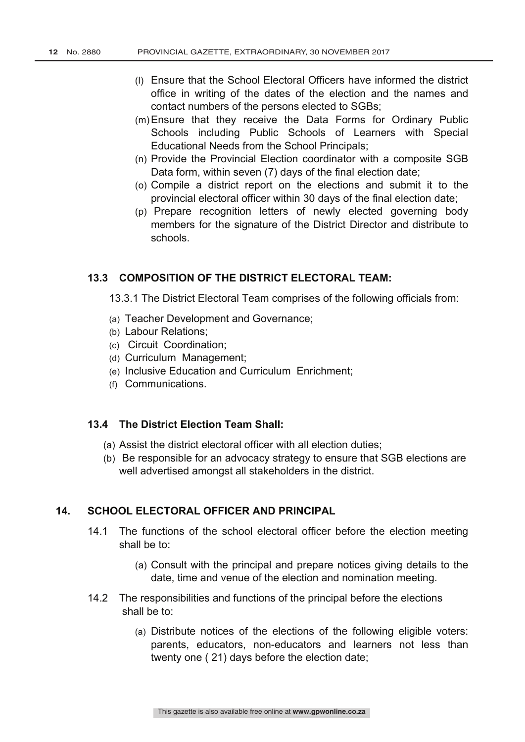- (l) Ensure that the School Electoral Officers have informed the district office in writing of the dates of the election and the names and contact numbers of the persons elected to SGBs;
- (m)Ensure that they receive the Data Forms for Ordinary Public Schools including Public Schools of Learners with Special Educational Needs from the School Principals;
- (n) Provide the Provincial Election coordinator with a composite SGB Data form, within seven (7) days of the final election date;
- (o) Compile a district report on the elections and submit it to the provincial electoral officer within 30 days of the final election date;
- (p) Prepare recognition letters of newly elected governing body members for the signature of the District Director and distribute to schools.

#### **13.3 COMPOSITION OF THE DISTRICT ELECTORAL TEAM:**

13.3.1 The District Electoral Team comprises of the following officials from:

- (a) Teacher Development and Governance;
- (b) Labour Relations;
- (c) Circuit Coordination;
- (d) Curriculum Management;
- (e) Inclusive Education and Curriculum Enrichment;
- (f) Communications.

#### **13.4 The District Election Team Shall:**

- (a) Assist the district electoral officer with all election duties;
- (b) Be responsible for an advocacy strategy to ensure that SGB elections are well advertised amongst all stakeholders in the district.

#### **14. SCHOOL ELECTORAL OFFICER AND PRINCIPAL**

- 14.1 The functions of the school electoral officer before the election meeting shall be to:
	- (a) Consult with the principal and prepare notices giving details to the date, time and venue of the election and nomination meeting.
- 14.2 The responsibilities and functions of the principal before the elections shall be to:
	- (a) Distribute notices of the elections of the following eligible voters: parents, educators, non-educators and learners not less than twenty one ( 21) days before the election date;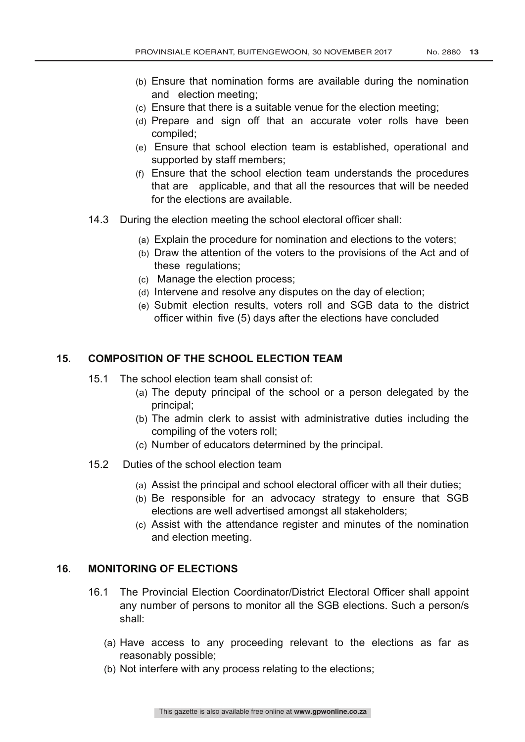- (b) Ensure that nomination forms are available during the nomination and election meeting;
- (c) Ensure that there is a suitable venue for the election meeting;
- (d) Prepare and sign off that an accurate voter rolls have been compiled;
- (e) Ensure that school election team is established, operational and supported by staff members;
- (f) Ensure that the school election team understands the procedures that are applicable, and that all the resources that will be needed for the elections are available.
- 14.3 During the election meeting the school electoral officer shall:
	- (a) Explain the procedure for nomination and elections to the voters;
	- (b) Draw the attention of the voters to the provisions of the Act and of these regulations;
	- (c) Manage the election process;
	- (d) Intervene and resolve any disputes on the day of election;
	- (e) Submit election results, voters roll and SGB data to the district officer within five (5) days after the elections have concluded

#### **15. COMPOSITION OF THE SCHOOL ELECTION TEAM**

- 15.1 The school election team shall consist of:
	- (a) The deputy principal of the school or a person delegated by the principal;
	- (b) The admin clerk to assist with administrative duties including the compiling of the voters roll;
	- (c) Number of educators determined by the principal.
- 15.2 Duties of the school election team
	- (a) Assist the principal and school electoral officer with all their duties;
	- (b) Be responsible for an advocacy strategy to ensure that SGB elections are well advertised amongst all stakeholders;
	- (c) Assist with the attendance register and minutes of the nomination and election meeting.

#### **16. MONITORING OF ELECTIONS**

- 16.1 The Provincial Election Coordinator/District Electoral Officer shall appoint any number of persons to monitor all the SGB elections. Such a person/s shall:
	- (a) Have access to any proceeding relevant to the elections as far as reasonably possible;
	- (b) Not interfere with any process relating to the elections;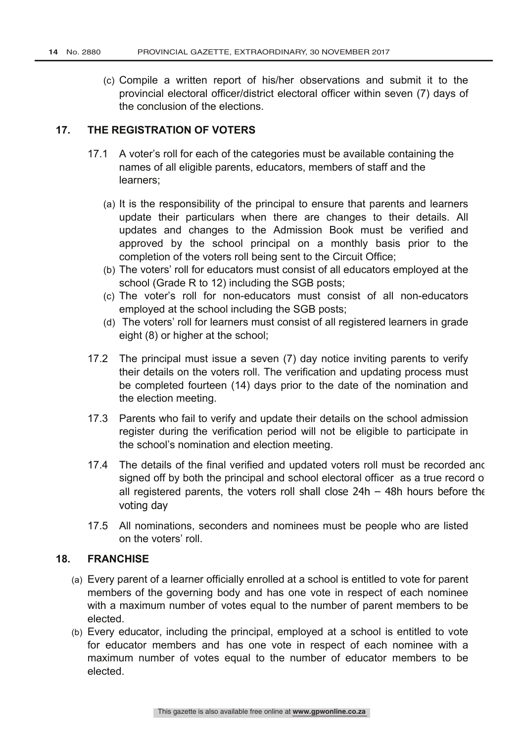(c) Compile a written report of his/her observations and submit it to the provincial electoral officer/district electoral officer within seven (7) days of the conclusion of the elections.

#### **17. THE REGISTRATION OF VOTERS**

- 17.1 A voter's roll for each of the categories must be available containing the names of all eligible parents, educators, members of staff and the learners;
	- (a) It is the responsibility of the principal to ensure that parents and learners update their particulars when there are changes to their details. All updates and changes to the Admission Book must be verified and approved by the school principal on a monthly basis prior to the completion of the voters roll being sent to the Circuit Office;
	- (b) The voters' roll for educators must consist of all educators employed at the school (Grade R to 12) including the SGB posts;
	- (c) The voter's roll for non-educators must consist of all non-educators employed at the school including the SGB posts;
	- (d) The voters' roll for learners must consist of all registered learners in grade eight (8) or higher at the school;
- 17.2 The principal must issue a seven (7) day notice inviting parents to verify their details on the voters roll. The verification and updating process must be completed fourteen (14) days prior to the date of the nomination and the election meeting.
- 17.3 Parents who fail to verify and update their details on the school admission register during the verification period will not be eligible to participate in the school's nomination and election meeting.
- 17.4 The details of the final verified and updated voters roll must be recorded and signed off by both the principal and school electoral officer as a true record of all registered parents, the voters roll shall close  $24h - 48h$  hours before the voting day
- 17.5 All nominations, seconders and nominees must be people who are listed on the voters' roll.

#### **18. FRANCHISE**

- (a) Every parent of a learner officially enrolled at a school is entitled to vote for parent members of the governing body and has one vote in respect of each nominee with a maximum number of votes equal to the number of parent members to be elected.
- (b) Every educator, including the principal, employed at a school is entitled to vote for educator members and has one vote in respect of each nominee with a maximum number of votes equal to the number of educator members to be elected.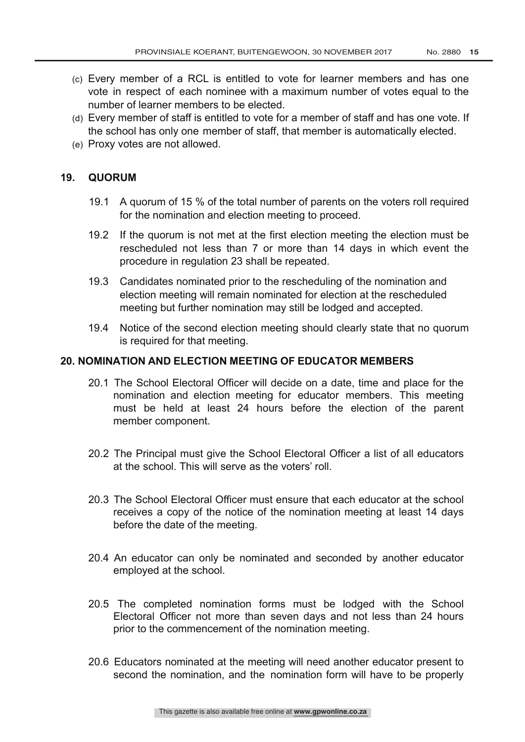- (c) Every member of a RCL is entitled to vote for learner members and has one vote in respect of each nominee with a maximum number of votes equal to the number of learner members to be elected.
- (d) Every member of staff is entitled to vote for a member of staff and has one vote. If the school has only one member of staff, that member is automatically elected.
- (e) Proxy votes are not allowed.

#### **19. QUORUM**

- 19.1 A quorum of 15 % of the total number of parents on the voters roll required for the nomination and election meeting to proceed.
- 19.2 If the quorum is not met at the first election meeting the election must be rescheduled not less than 7 or more than 14 days in which event the procedure in regulation 23 shall be repeated.
- 19.3 Candidates nominated prior to the rescheduling of the nomination and election meeting will remain nominated for election at the rescheduled meeting but further nomination may still be lodged and accepted.
- 19.4 Notice of the second election meeting should clearly state that no quorum is required for that meeting.

#### **20. NOMINATION AND ELECTION MEETING OF EDUCATOR MEMBERS**

- 20.1 The School Electoral Officer will decide on a date, time and place for the nomination and election meeting for educator members. This meeting must be held at least 24 hours before the election of the parent member component.
- 20.2 The Principal must give the School Electoral Officer a list of all educators at the school. This will serve as the voters' roll.
- 20.3 The School Electoral Officer must ensure that each educator at the school receives a copy of the notice of the nomination meeting at least 14 days before the date of the meeting.
- 20.4 An educator can only be nominated and seconded by another educator employed at the school.
- 20.5 The completed nomination forms must be lodged with the School Electoral Officer not more than seven days and not less than 24 hours prior to the commencement of the nomination meeting.
- 20.6 Educators nominated at the meeting will need another educator present to second the nomination, and the nomination form will have to be properly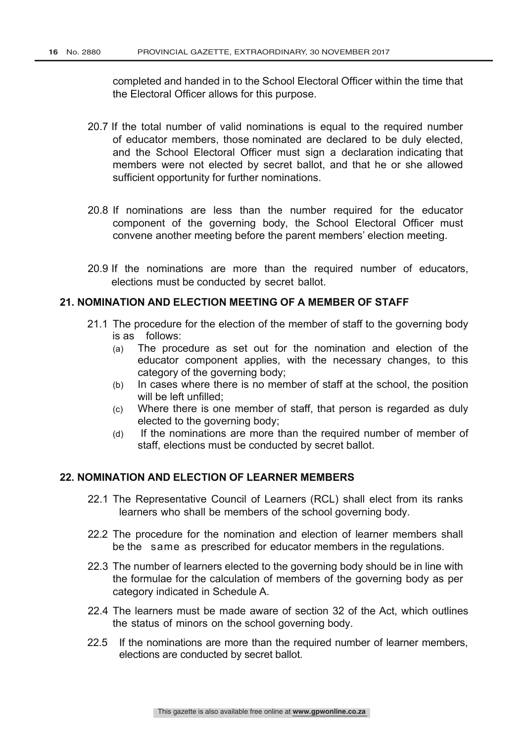completed and handed in to the School Electoral Officer within the time that the Electoral Officer allows for this purpose.

- 20.7 If the total number of valid nominations is equal to the required number of educator members, those nominated are declared to be duly elected, and the School Electoral Officer must sign a declaration indicating that members were not elected by secret ballot, and that he or she allowed sufficient opportunity for further nominations.
- 20.8 If nominations are less than the number required for the educator component of the governing body, the School Electoral Officer must convene another meeting before the parent members' election meeting.
- 20.9 If the nominations are more than the required number of educators, elections must be conducted by secret ballot.

#### **21. NOMINATION AND ELECTION MEETING OF A MEMBER OF STAFF**

- 21.1 The procedure for the election of the member of staff to the governing body is as follows:
	- (a) The procedure as set out for the nomination and election of the educator component applies, with the necessary changes, to this category of the governing body;
	- (b) In cases where there is no member of staff at the school, the position will be left unfilled;
	- (c) Where there is one member of staff, that person is regarded as duly elected to the governing body;
	- (d) If the nominations are more than the required number of member of staff, elections must be conducted by secret ballot.

#### **22. NOMINATION AND ELECTION OF LEARNER MEMBERS**

- 22.1 The Representative Council of Learners (RCL) shall elect from its ranks learners who shall be members of the school governing body.
- 22.2 The procedure for the nomination and election of learner members shall be the same as prescribed for educator members in the regulations.
- 22.3 The number of learners elected to the governing body should be in line with the formulae for the calculation of members of the governing body as per category indicated in Schedule A.
- 22.4 The learners must be made aware of section 32 of the Act, which outlines the status of minors on the school governing body.
- 22.5 If the nominations are more than the required number of learner members, elections are conducted by secret ballot.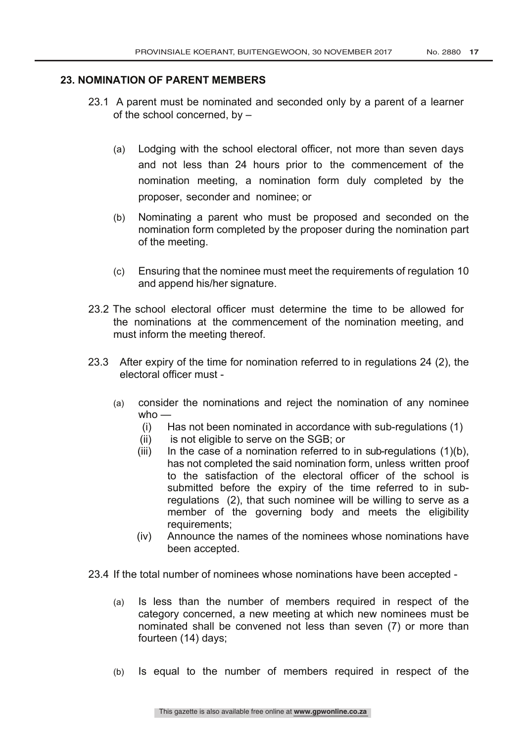#### **23. NOMINATION OF PARENT MEMBERS**

- 23.1 A parent must be nominated and seconded only by a parent of a learner of the school concerned, by –
	- (a) Lodging with the school electoral officer, not more than seven days and not less than 24 hours prior to the commencement of the nomination meeting, a nomination form duly completed by the proposer, seconder and nominee; or
	- (b) Nominating a parent who must be proposed and seconded on the nomination form completed by the proposer during the nomination part of the meeting.
	- (c) Ensuring that the nominee must meet the requirements of regulation 10 and append his/her signature.
- 23.2 The school electoral officer must determine the time to be allowed for the nominations at the commencement of the nomination meeting, and must inform the meeting thereof.
- 23.3 After expiry of the time for nomination referred to in regulations 24 (2), the electoral officer must -
	- (a) consider the nominations and reject the nomination of any nominee who  $-$ 
		- (i) Has not been nominated in accordance with sub-regulations (1)
		- (ii) is not eligible to serve on the SGB; or
		- (iii) In the case of a nomination referred to in sub-regulations  $(1)(b)$ , has not completed the said nomination form, unless written proof to the satisfaction of the electoral officer of the school is submitted before the expiry of the time referred to in subregulations (2), that such nominee will be willing to serve as a member of the governing body and meets the eligibility requirements;
		- (iv) Announce the names of the nominees whose nominations have been accepted.
- 23.4 If the total number of nominees whose nominations have been accepted
	- (a) Is less than the number of members required in respect of the category concerned, a new meeting at which new nominees must be nominated shall be convened not less than seven (7) or more than fourteen (14) days;
	- (b) Is equal to the number of members required in respect of the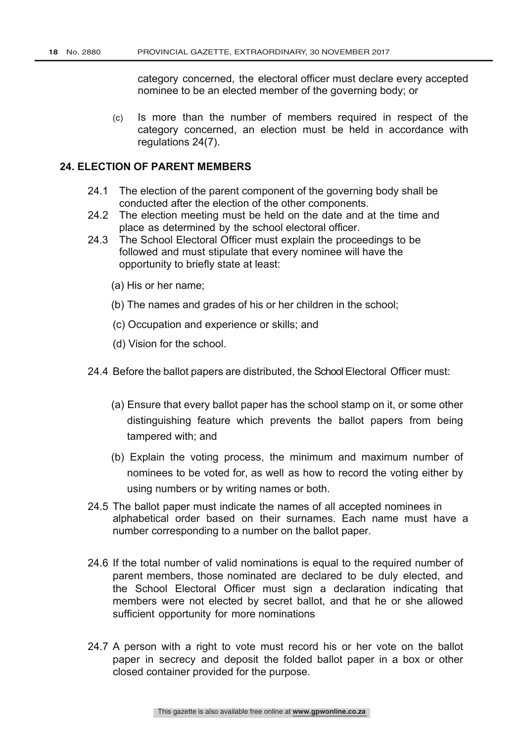category concerned, the electoral officer must declare every accepted nominee to be an elected member of the governing body; or

(c) Is more than the number of members required in respect of the category concerned, an election must be held in accordance with regulations 24(7).

#### **24. ELECTION OF PARENT MEMBERS**

- 24.1 The election of the parent component of the governing body shall be conducted after the election of the other components.
- 24.2 The election meeting must be held on the date and at the time and place as determined by the school electoral officer.
- 24.3 The School Electoral Officer must explain the proceedings to be followed and must stipulate that every nominee will have the opportunity to briefly state at least:
	- (a) His or her name;
	- (b) The names and grades of his or her children in the school;
	- (c) Occupation and experience or skills; and
	- (d) Vision for the school.
- 24.4 Before the ballot papers are distributed, the School Electoral Officer must:
	- (a) Ensure that every ballot paper has the school stamp on it, or some other distinguishing feature which prevents the ballot papers from being tampered with; and
	- (b) Explain the voting process, the minimum and maximum number of nominees to be voted for, as well as how to record the voting either by using numbers or by writing names or both.
- 24.5 The ballot paper must indicate the names of all accepted nominees in alphabetical order based on their surnames. Each name must have a number corresponding to a number on the ballot paper.
- 24.6 If the total number of valid nominations is equal to the required number of parent members, those nominated are declared to be duly elected, and the School Electoral Officer must sign a declaration indicating that members were not elected by secret ballot, and that he or she allowed sufficient opportunity for more nominations
- 24.7 A person with a right to vote must record his or her vote on the ballot paper in secrecy and deposit the folded ballot paper in a box or other closed container provided for the purpose.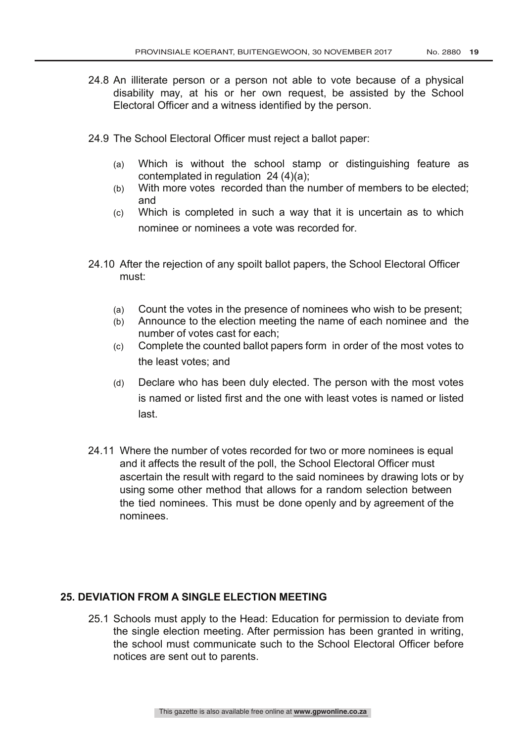- 24.8 An illiterate person or a person not able to vote because of a physical disability may, at his or her own request, be assisted by the School Electoral Officer and a witness identified by the person.
- 24.9 The School Electoral Officer must reject a ballot paper:
	- (a) Which is without the school stamp or distinguishing feature as contemplated in regulation 24 (4)(a);
	- (b) With more votes recorded than the number of members to be elected; and
	- (c) Which is completed in such a way that it is uncertain as to which nominee or nominees a vote was recorded for.
- 24.10 After the rejection of any spoilt ballot papers, the School Electoral Officer must:
	- (a) Count the votes in the presence of nominees who wish to be present;
	- (b) Announce to the election meeting the name of each nominee and the number of votes cast for each;
	- (c) Complete the counted ballot papers form in order of the most votes to the least votes; and
	- (d) Declare who has been duly elected. The person with the most votes is named or listed first and the one with least votes is named or listed last.
- 24.11 Where the number of votes recorded for two or more nominees is equal and it affects the result of the poll, the School Electoral Officer must ascertain the result with regard to the said nominees by drawing lots or by using some other method that allows for a random selection between the tied nominees. This must be done openly and by agreement of the nominees.

#### **25. DEVIATION FROM A SINGLE ELECTION MEETING**

25.1 Schools must apply to the Head: Education for permission to deviate from the single election meeting. After permission has been granted in writing, the school must communicate such to the School Electoral Officer before notices are sent out to parents.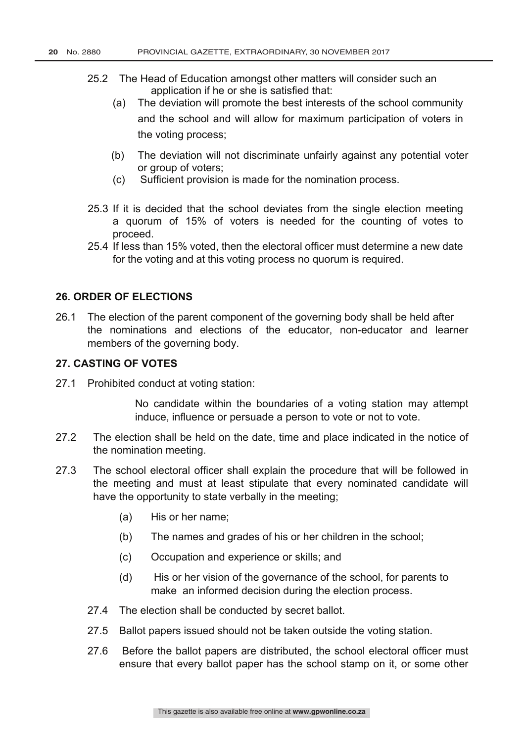- 25.2 The Head of Education amongst other matters will consider such an application if he or she is satisfied that:
	- (a) The deviation will promote the best interests of the school community and the school and will allow for maximum participation of voters in the voting process;
	- (b) The deviation will not discriminate unfairly against any potential voter or group of voters;
	- (c) Sufficient provision is made for the nomination process.
- 25.3 If it is decided that the school deviates from the single election meeting a quorum of 15% of voters is needed for the counting of votes to proceed.
- 25.4 If less than 15% voted, then the electoral officer must determine a new date for the voting and at this voting process no quorum is required.

#### **26. ORDER OF ELECTIONS**

26.1 The election of the parent component of the governing body shall be held after the nominations and elections of the educator, non-educator and learner members of the governing body.

#### **27. CASTING OF VOTES**

27.1 Prohibited conduct at voting station:

No candidate within the boundaries of a voting station may attempt induce, influence or persuade a person to vote or not to vote.

- 27.2 The election shall be held on the date, time and place indicated in the notice of the nomination meeting.
- 27.3 The school electoral officer shall explain the procedure that will be followed in the meeting and must at least stipulate that every nominated candidate will have the opportunity to state verbally in the meeting;
	- (a) His or her name;
	- (b) The names and grades of his or her children in the school;
	- (c) Occupation and experience or skills; and
	- (d) His or her vision of the governance of the school, for parents to make an informed decision during the election process.
	- 27.4 The election shall be conducted by secret ballot.
	- 27.5 Ballot papers issued should not be taken outside the voting station.
	- 27.6 Before the ballot papers are distributed, the school electoral officer must ensure that every ballot paper has the school stamp on it, or some other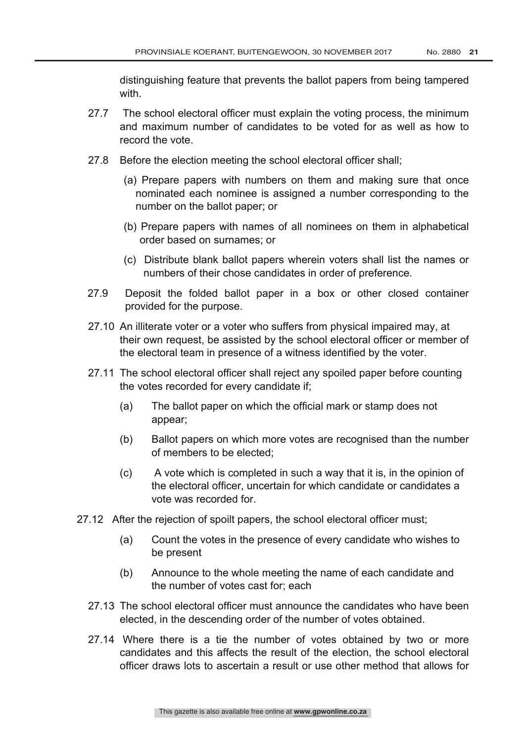distinguishing feature that prevents the ballot papers from being tampered with.

- 27.7 The school electoral officer must explain the voting process, the minimum and maximum number of candidates to be voted for as well as how to record the vote.
- 27.8 Before the election meeting the school electoral officer shall;
	- (a) Prepare papers with numbers on them and making sure that once nominated each nominee is assigned a number corresponding to the number on the ballot paper; or
	- (b) Prepare papers with names of all nominees on them in alphabetical order based on surnames; or
	- (c) Distribute blank ballot papers wherein voters shall list the names or numbers of their chose candidates in order of preference.
- 27.9 Deposit the folded ballot paper in a box or other closed container provided for the purpose.
- 27.10 An illiterate voter or a voter who suffers from physical impaired may, at their own request, be assisted by the school electoral officer or member of the electoral team in presence of a witness identified by the voter.
- 27.11 The school electoral officer shall reject any spoiled paper before counting the votes recorded for every candidate if;
	- (a) The ballot paper on which the official mark or stamp does not appear;
	- (b) Ballot papers on which more votes are recognised than the number of members to be elected;
	- (c) A vote which is completed in such a way that it is, in the opinion of the electoral officer, uncertain for which candidate or candidates a vote was recorded for.
- 27.12 After the rejection of spoilt papers, the school electoral officer must;
	- (a) Count the votes in the presence of every candidate who wishes to be present
	- (b) Announce to the whole meeting the name of each candidate and the number of votes cast for; each
	- 27.13 The school electoral officer must announce the candidates who have been elected, in the descending order of the number of votes obtained.
	- 27.14 Where there is a tie the number of votes obtained by two or more candidates and this affects the result of the election, the school electoral officer draws lots to ascertain a result or use other method that allows for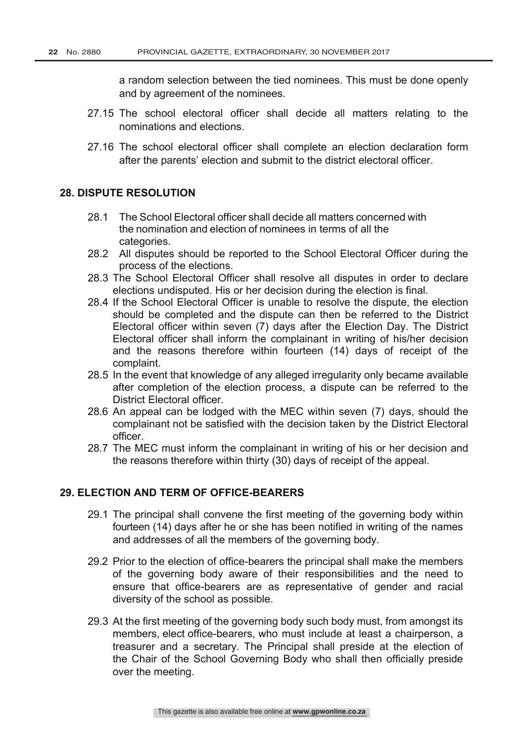a random selection between the tied nominees. This must be done openly and by agreement of the nominees.

- 27.15 The school electoral officer shall decide all matters relating to the nominations and elections.
- 27.16 The school electoral officer shall complete an election declaration form after the parents' election and submit to the district electoral officer.

#### **28. DISPUTE RESOLUTION**

- 28.1 The School Electoral officer shall decide all matters concerned with the nomination and election of nominees in terms of all the categories.
- 28.2 All disputes should be reported to the School Electoral Officer during the process of the elections.
- 28.3 The School Electoral Officer shall resolve all disputes in order to declare elections undisputed. His or her decision during the election is final.
- 28.4 If the School Electoral Officer is unable to resolve the dispute, the election should be completed and the dispute can then be referred to the District Electoral officer within seven (7) days after the Election Day. The District Electoral officer shall inform the complainant in writing of his/her decision and the reasons therefore within fourteen (14) days of receipt of the complaint.
- 28.5 In the event that knowledge of any alleged irregularity only became available after completion of the election process, a dispute can be referred to the District Electoral officer.
- 28.6 An appeal can be lodged with the MEC within seven (7) days, should the complainant not be satisfied with the decision taken by the District Electoral officer.
- 28.7 The MEC must inform the complainant in writing of his or her decision and the reasons therefore within thirty (30) days of receipt of the appeal.

#### **29. ELECTION AND TERM OF OFFICE-BEARERS**

- 29.1 The principal shall convene the first meeting of the governing body within fourteen (14) days after he or she has been notified in writing of the names and addresses of all the members of the governing body.
- 29.2 Prior to the election of office-bearers the principal shall make the members of the governing body aware of their responsibilities and the need to ensure that office-bearers are as representative of gender and racial diversity of the school as possible.
- 29.3 At the first meeting of the governing body such body must, from amongst its members, elect office-bearers, who must include at least a chairperson, a treasurer and a secretary. The Principal shall preside at the election of the Chair of the School Governing Body who shall then officially preside over the meeting.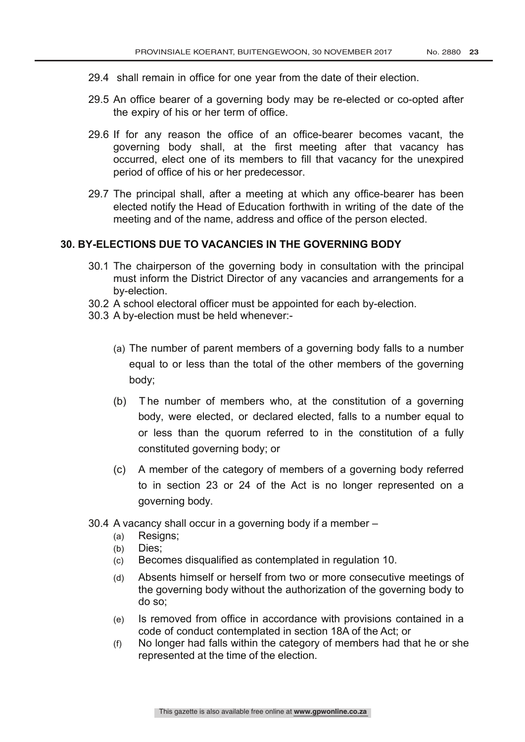- 29.4 shall remain in office for one year from the date of their election.
- 29.5 An office bearer of a governing body may be re-elected or co-opted after the expiry of his or her term of office.
- 29.6 If for any reason the office of an office-bearer becomes vacant, the governing body shall, at the first meeting after that vacancy has occurred, elect one of its members to fill that vacancy for the unexpired period of office of his or her predecessor.
- 29.7 The principal shall, after a meeting at which any office-bearer has been elected notify the Head of Education forthwith in writing of the date of the meeting and of the name, address and office of the person elected.

#### **30. BY-ELECTIONS DUE TO VACANCIES IN THE GOVERNING BODY**

- 30.1 The chairperson of the governing body in consultation with the principal must inform the District Director of any vacancies and arrangements for a by-election.
- 30.2 A school electoral officer must be appointed for each by-election.
- 30.3 A by-election must be held whenever:-
	- (a) The number of parent members of a governing body falls to a number equal to or less than the total of the other members of the governing body;
	- (b) T he number of members who, at the constitution of a governing body, were elected, or declared elected, falls to a number equal to or less than the quorum referred to in the constitution of a fully constituted governing body; or
	- (c) A member of the category of members of a governing body referred to in section 23 or 24 of the Act is no longer represented on a governing body.
- 30.4 A vacancy shall occur in a governing body if a member
	- (a) Resigns;
	- (b) Dies;
	- (c) Becomes disqualified as contemplated in regulation 10.
	- (d) Absents himself or herself from two or more consecutive meetings of the governing body without the authorization of the governing body to do so;
	- (e) Is removed from office in accordance with provisions contained in a code of conduct contemplated in section 18A of the Act; or
	- (f) No longer had falls within the category of members had that he or she represented at the time of the election.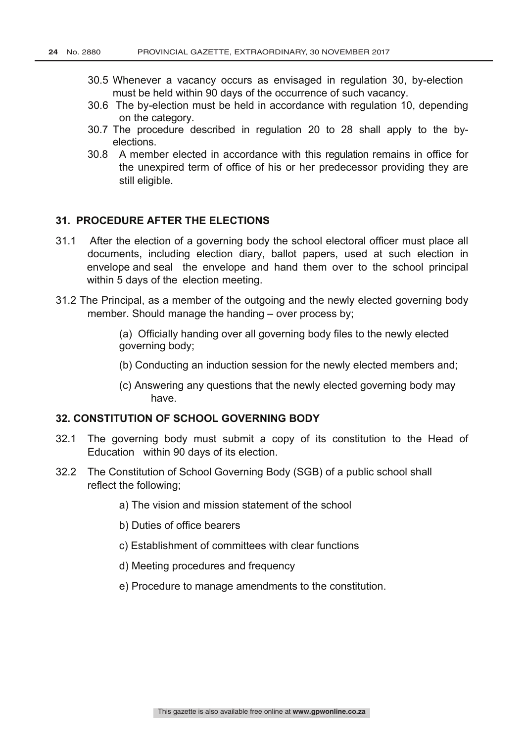- 30.5 Whenever a vacancy occurs as envisaged in regulation 30, by-election must be held within 90 days of the occurrence of such vacancy.
- 30.6 The by-election must be held in accordance with regulation 10, depending on the category.
- 30.7 The procedure described in regulation 20 to 28 shall apply to the byelections.
- 30.8 A member elected in accordance with this regulation remains in office for the unexpired term of office of his or her predecessor providing they are still eligible.

#### **31. PROCEDURE AFTER THE ELECTIONS**

- 31.1 After the election of a governing body the school electoral officer must place all documents, including election diary, ballot papers, used at such election in envelope and seal the envelope and hand them over to the school principal within 5 days of the election meeting.
- 31.2 The Principal, as a member of the outgoing and the newly elected governing body member. Should manage the handing – over process by;
	- (a) Officially handing over all governing body files to the newly elected governing body;
	- (b) Conducting an induction session for the newly elected members and;
	- (c) Answering any questions that the newly elected governing body may have.

#### **32. CONSTITUTION OF SCHOOL GOVERNING BODY**

- 32.1 The governing body must submit a copy of its constitution to the Head of Education within 90 days of its election.
- 32.2 The Constitution of School Governing Body (SGB) of a public school shall reflect the following;
	- a) The vision and mission statement of the school
	- b) Duties of office bearers
	- c) Establishment of committees with clear functions
	- d) Meeting procedures and frequency
	- e) Procedure to manage amendments to the constitution.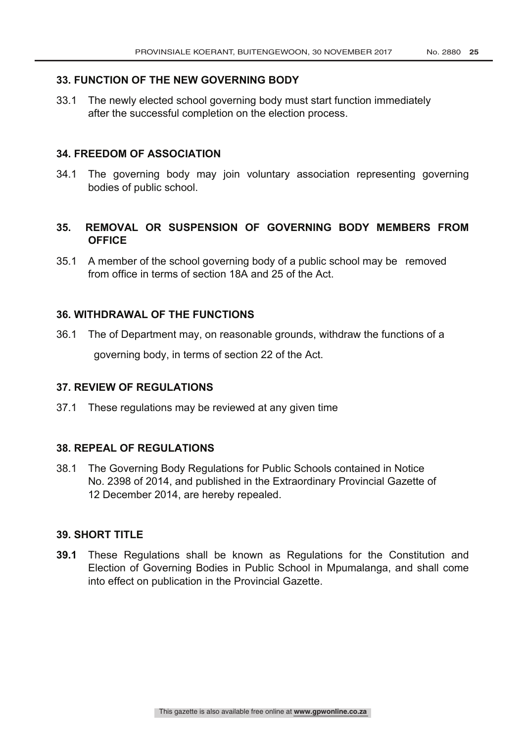#### **33. FUNCTION OF THE NEW GOVERNING BODY**

33.1 The newly elected school governing body must start function immediately after the successful completion on the election process.

#### **34. FREEDOM OF ASSOCIATION**

34.1 The governing body may join voluntary association representing governing bodies of public school.

#### **35. REMOVAL OR SUSPENSION OF GOVERNING BODY MEMBERS FROM OFFICE**

35.1 A member of the school governing body of a public school may be removed from office in terms of section 18A and 25 of the Act.

#### **36. WITHDRAWAL OF THE FUNCTIONS**

36.1 The of Department may, on reasonable grounds, withdraw the functions of a governing body, in terms of section 22 of the Act.

#### **37. REVIEW OF REGULATIONS**

37.1 These regulations may be reviewed at any given time

#### **38. REPEAL OF REGULATIONS**

38.1 The Governing Body Regulations for Public Schools contained in Notice No. 2398 of 2014, and published in the Extraordinary Provincial Gazette of 12 December 2014, are hereby repealed.

#### **39. SHORT TITLE**

**39.1** These Regulations shall be known as Regulations for the Constitution and Election of Governing Bodies in Public School in Mpumalanga, and shall come into effect on publication in the Provincial Gazette.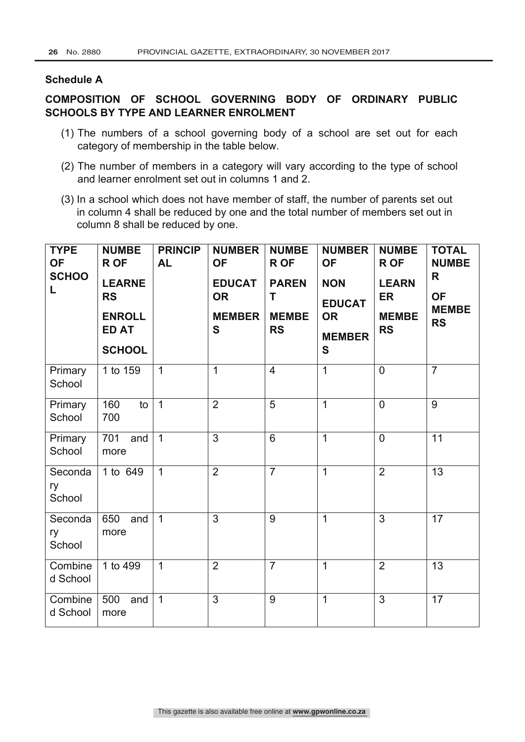#### **Schedule A**

#### **COMPOSITION OF SCHOOL GOVERNING BODY OF ORDINARY PUBLIC SCHOOLS BY TYPE AND LEARNER ENROLMENT**

- (1) The numbers of a school governing body of a school are set out for each category of membership in the table below.
- (2) The number of members in a category will vary according to the type of school and learner enrolment set out in columns 1 and 2.
- (3) In a school which does not have member of staff, the number of parents set out in column 4 shall be reduced by one and the total number of members set out in column 8 shall be reduced by one.

| <b>TYPE</b><br><b>OF</b><br><b>SCHOO</b><br>L | <b>NUMBE</b><br><b>R OF</b><br><b>LEARNE</b><br><b>RS</b><br><b>ENROLL</b><br><b>ED AT</b><br><b>SCHOOL</b> | <b>PRINCIP</b><br><b>AL</b> | <b>NUMBER</b><br><b>OF</b><br><b>EDUCAT</b><br><b>OR</b><br><b>MEMBER</b><br>$\mathbf{s}$ | <b>NUMBE</b><br><b>ROF</b><br><b>PAREN</b><br>Τ<br><b>MEMBE</b><br><b>RS</b> | <b>NUMBER</b><br><b>OF</b><br><b>NON</b><br><b>EDUCAT</b><br><b>OR</b><br><b>MEMBER</b><br>$\mathbf s$ | <b>NUMBE</b><br><b>ROF</b><br><b>LEARN</b><br><b>ER</b><br><b>MEMBE</b><br><b>RS</b> | <b>TOTAL</b><br><b>NUMBE</b><br>R<br><b>OF</b><br><b>MEMBE</b><br><b>RS</b> |
|-----------------------------------------------|-------------------------------------------------------------------------------------------------------------|-----------------------------|-------------------------------------------------------------------------------------------|------------------------------------------------------------------------------|--------------------------------------------------------------------------------------------------------|--------------------------------------------------------------------------------------|-----------------------------------------------------------------------------|
| Primary<br>School                             | 1 to 159                                                                                                    | $\overline{1}$              | 1                                                                                         | $\overline{4}$                                                               | $\overline{1}$                                                                                         | $\overline{0}$                                                                       | $\overline{7}$                                                              |
| Primary<br>School                             | 160<br>to<br>700                                                                                            | $\overline{1}$              | $\overline{2}$                                                                            | 5                                                                            | $\mathbf{1}$                                                                                           | $\overline{0}$                                                                       | $\overline{9}$                                                              |
| Primary<br>School                             | 701<br>and<br>more                                                                                          | $\overline{1}$              | $\overline{3}$                                                                            | 6                                                                            | $\mathbf{1}$                                                                                           | $\overline{0}$                                                                       | $\overline{11}$                                                             |
| Seconda<br>ry<br>School                       | 1 to 649                                                                                                    | $\mathbf{1}$                | $\overline{2}$                                                                            | $\overline{7}$                                                               | $\mathbf{1}$                                                                                           | $\overline{2}$                                                                       | 13                                                                          |
| Seconda<br>ry<br>School                       | 650<br>and<br>more                                                                                          | $\overline{1}$              | $\overline{3}$                                                                            | 9                                                                            | $\mathbf{1}$                                                                                           | $\overline{3}$                                                                       | $\overline{17}$                                                             |
| Combine<br>d School                           | 1 to 499                                                                                                    | $\mathbf 1$                 | $\overline{2}$                                                                            | $\overline{7}$                                                               | $\mathbf{1}$                                                                                           | $\overline{2}$                                                                       | 13                                                                          |
| Combine<br>d School                           | 500<br>and<br>more                                                                                          | $\mathbf{1}$                | 3                                                                                         | 9                                                                            | $\mathbf{1}$                                                                                           | 3                                                                                    | 17                                                                          |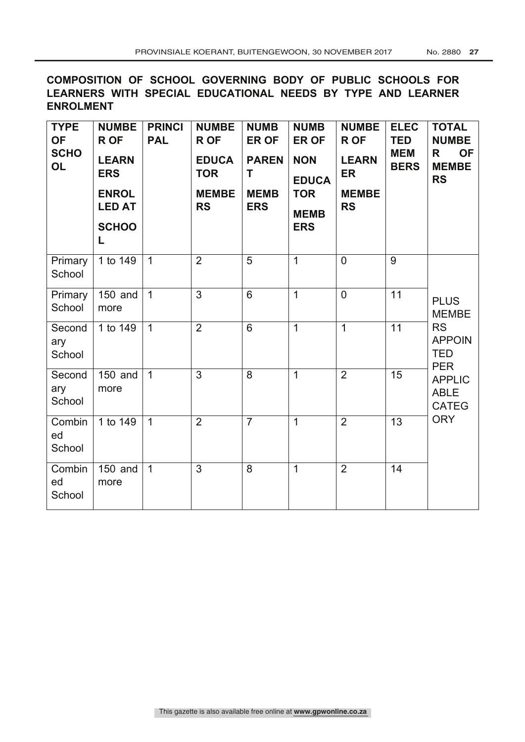**COMPOSITION OF SCHOOL GOVERNING BODY OF PUBLIC SCHOOLS FOR LEARNERS WITH SPECIAL EDUCATIONAL NEEDS BY TYPE AND LEARNER ENROLMENT**

| <b>TYPE</b><br><b>OF</b><br><b>SCHO</b><br><b>OL</b> | <b>NUMBE</b><br>R OF<br><b>LEARN</b><br><b>ERS</b><br><b>ENROL</b><br><b>LED AT</b><br><b>SCHOO</b><br>L | <b>PRINCI</b><br><b>PAL</b> | <b>NUMBE</b><br><b>ROF</b><br><b>EDUCA</b><br><b>TOR</b><br><b>MEMBE</b><br><b>RS</b> | <b>NUMB</b><br><b>ER OF</b><br><b>PAREN</b><br>T<br><b>MEMB</b><br><b>ERS</b> | <b>NUMB</b><br><b>ER OF</b><br><b>NON</b><br><b>EDUCA</b><br><b>TOR</b><br><b>MEMB</b><br><b>ERS</b> | <b>NUMBE</b><br>R OF<br><b>LEARN</b><br><b>ER</b><br><b>MEMBE</b><br><b>RS</b> | <b>ELEC</b><br><b>TED</b><br><b>MEM</b><br><b>BERS</b> | <b>TOTAL</b><br><b>NUMBE</b><br><b>OF</b><br>R.<br><b>MEMBE</b><br><b>RS</b>                                                          |
|------------------------------------------------------|----------------------------------------------------------------------------------------------------------|-----------------------------|---------------------------------------------------------------------------------------|-------------------------------------------------------------------------------|------------------------------------------------------------------------------------------------------|--------------------------------------------------------------------------------|--------------------------------------------------------|---------------------------------------------------------------------------------------------------------------------------------------|
| Primary<br>School                                    | 1 to 149                                                                                                 | $\overline{1}$              | $\overline{2}$                                                                        | $\overline{5}$                                                                | $\overline{1}$                                                                                       | $\overline{0}$                                                                 | 9                                                      |                                                                                                                                       |
| Primary<br>School                                    | 150 and<br>more                                                                                          | $\overline{1}$              | 3                                                                                     | 6                                                                             | $\mathbf{1}$                                                                                         | $\mathbf 0$                                                                    | 11                                                     | <b>PLUS</b><br><b>MEMBE</b><br><b>RS</b><br><b>APPOIN</b><br><b>TED</b><br><b>PER</b><br><b>APPLIC</b><br><b>ABLE</b><br><b>CATEG</b> |
| Second<br>ary<br>School                              | 1 to 149                                                                                                 | $\overline{1}$              | $\overline{2}$                                                                        | 6                                                                             | $\overline{1}$                                                                                       | $\overline{1}$                                                                 | 11                                                     |                                                                                                                                       |
| Second<br>ary<br>School                              | 150 and<br>more                                                                                          | $\mathbf{1}$                | 3                                                                                     | 8                                                                             | 1                                                                                                    | $\overline{2}$                                                                 | 15                                                     |                                                                                                                                       |
| Combin<br>ed<br>School                               | 1 to $149$                                                                                               | $\mathbf{1}$                | $\overline{2}$                                                                        | $\overline{7}$                                                                | $\overline{1}$                                                                                       | $\overline{2}$                                                                 | 13                                                     | <b>ORY</b>                                                                                                                            |
| Combin<br>ed<br>School                               | 150 and<br>more                                                                                          | $\mathbf{1}$                | 3                                                                                     | $\overline{8}$                                                                | $\overline{1}$                                                                                       | $\overline{2}$                                                                 | 14                                                     |                                                                                                                                       |